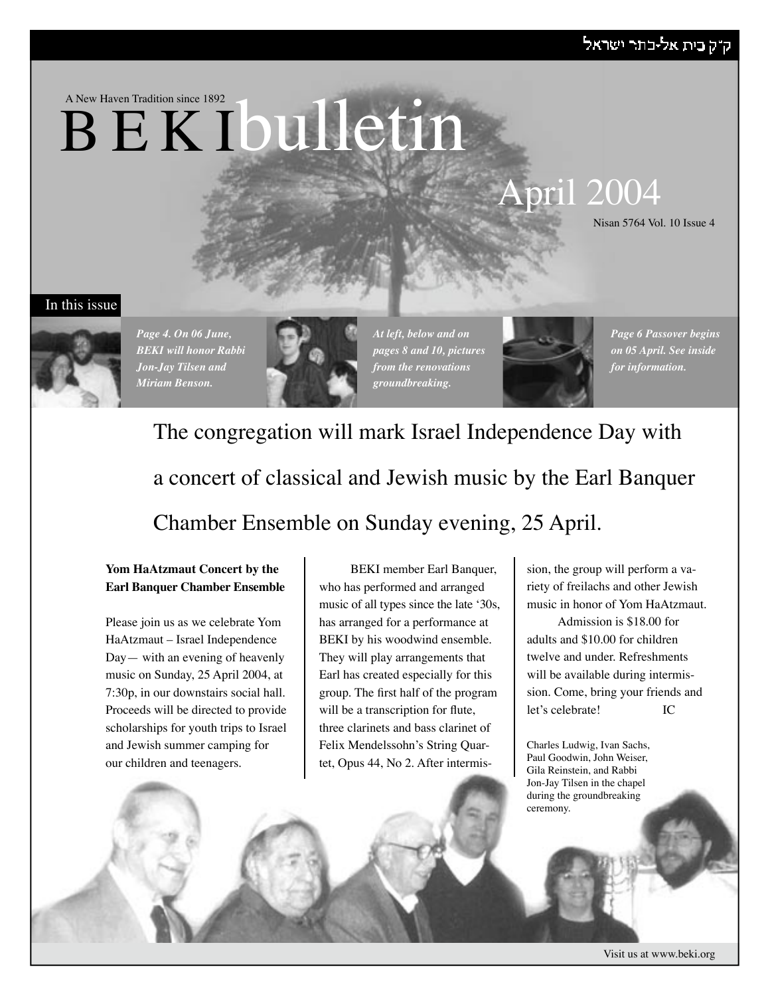### ק"ק בית אל-בתר ישראל

### A New Haven Tradition since 1892

# B E K Ibulletin

# April 2004

Nisan 5764 Vol. 10 Issue 4

### In this issue



*Page 4. On 06 June, BEKI will honor Rabbi Jon-Jay Tilsen and Miriam Benson.*



*At left, below and on pages 8 and 10, pictures from the renovations groundbreaking.*



*Page 6 Passover begins on 05 April. See inside for information.*

# The congregation will mark Israel Independence Day with a concert of classical and Jewish music by the Earl Banquer Chamber Ensemble on Sunday evening, 25 April.

**Yom HaAtzmaut Concert by the Earl Banquer Chamber Ensemble**

Please join us as we celebrate Yom HaAtzmaut – Israel Independence Day— with an evening of heavenly music on Sunday, 25 April 2004, at 7:30p, in our downstairs social hall. Proceeds will be directed to provide scholarships for youth trips to Israel and Jewish summer camping for our children and teenagers.

BEKI member Earl Banquer, who has performed and arranged music of all types since the late ʻ30s, has arranged for a performance at BEKI by his woodwind ensemble. They will play arrangements that Earl has created especially for this group. The first half of the program will be a transcription for flute, three clarinets and bass clarinet of Felix Mendelssohn's String Quartet, Opus 44, No 2. After intermis-

sion, the group will perform a variety of freilachs and other Jewish music in honor of Yom HaAtzmaut.

Admission is \$18.00 for adults and \$10.00 for children twelve and under. Refreshments will be available during intermission. Come, bring your friends and let's celebrate! IC

Charles Ludwig, Ivan Sachs, Paul Goodwin, John Weiser, Gila Reinstein, and Rabbi Jon-Jay Tilsen in the chapel during the groundbreaking ceremony.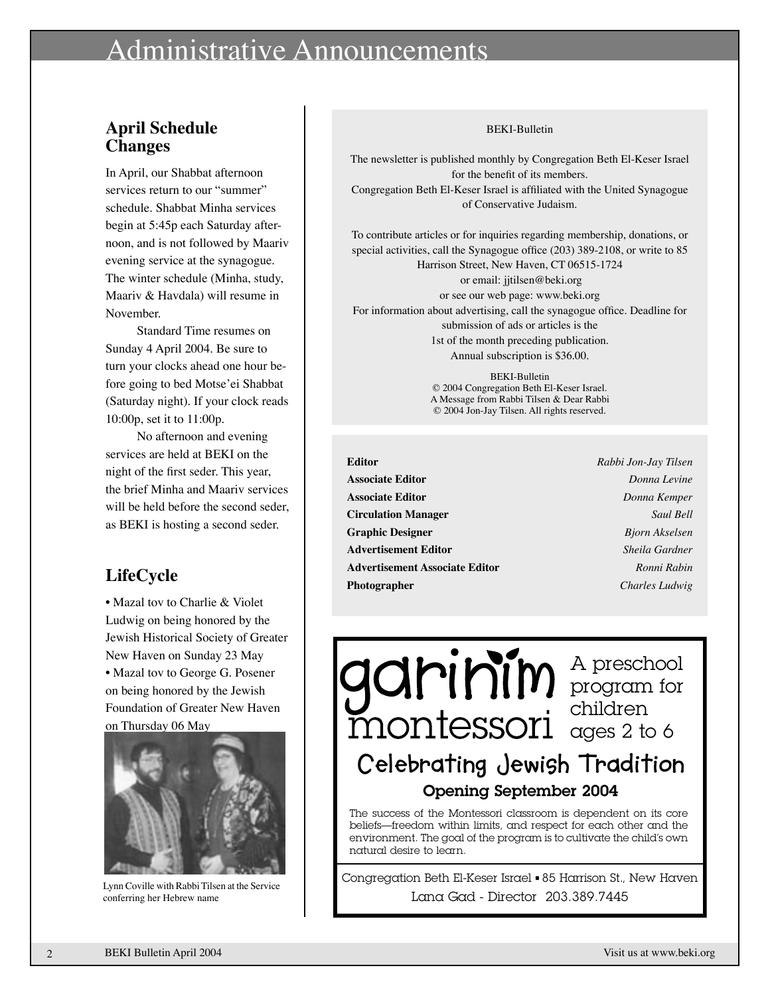### inistrative Announcements

### **April Schedule Changes**

In April, our Shabbat afternoon services return to our "summer" schedule. Shabbat Minha services begin at 5:45p each Saturday afternoon, and is not followed by Maariv evening service at the synagogue. The winter schedule (Minha, study, Maariv & Havdala) will resume in November.

Standard Time resumes on Sunday 4 April 2004. Be sure to turn your clocks ahead one hour before going to bed Motse'ei Shabbat (Saturday night). If your clock reads 10:00p, set it to 11:00p.

No afternoon and evening services are held at BEKI on the night of the first seder. This year, the brief Minha and Maariv services will be held before the second seder. as BEKI is hosting a second seder.

### **LifeCycle**

• Mazal tov to Charlie & Violet Ludwig on being honored by the Jewish Historical Society of Greater New Haven on Sunday 23 May • Mazal tov to George G. Posener on being honored by the Jewish Foundation of Greater New Haven on Thursday 06 May



Lynn Coville with Rabbi Tilsen at the Service conferring her Hebrew name

#### **BEKI-Bulletin**

The newsletter is published monthly by Congregation Beth El-Keser Israel for the benefit of its members. Congregation Beth El-Keser Israel is affiliated with the United Synagogue of Conservative Judaism.

To contribute articles or for inquiries regarding membership, donations, or special activities, call the Synagogue office (203) 389-2108, or write to 85 Harrison Street, New Haven, CT 06515-1724

or email: jjtilsen@beki.org or see our web page: www.beki.org For information about advertising, call the synagogue office. Deadline for submission of ads or articles is the 1st of the month preceding publication. Annual subscription is \$36.00.

> **BEKI-Bulletin** © 2004 Congregation Beth El-Keser Israel. A Message from Rabbi Tilsen & Dear Rabbi © 2004 Jon-Jay Tilsen. All rights reserved.

**Editor Associate Editor Associate Editor Circulation Manager Graphic Designer Advertisement Editor Advertisement Associate Editor** Photographer

Rabbi Jon-Jay Tilsen Donna Levine Donna Kemper Saul Bell **Bjorn Akselsen** Sheila Gardner Ronni Rabin Charles Ludwig

garinim Apreschool Celebrating Jewish Tradition Opening September 2004

The success of the Montessori classroom is dependent on its core beliefs—freedom within limits, and respect for each other and the environment. The goal of the program is to cultivate the child's own natural desire to learn.

Congregation Beth El-Keser Israel . 85 Harrison St., New Haven Lana Gad - Director 203.389.7445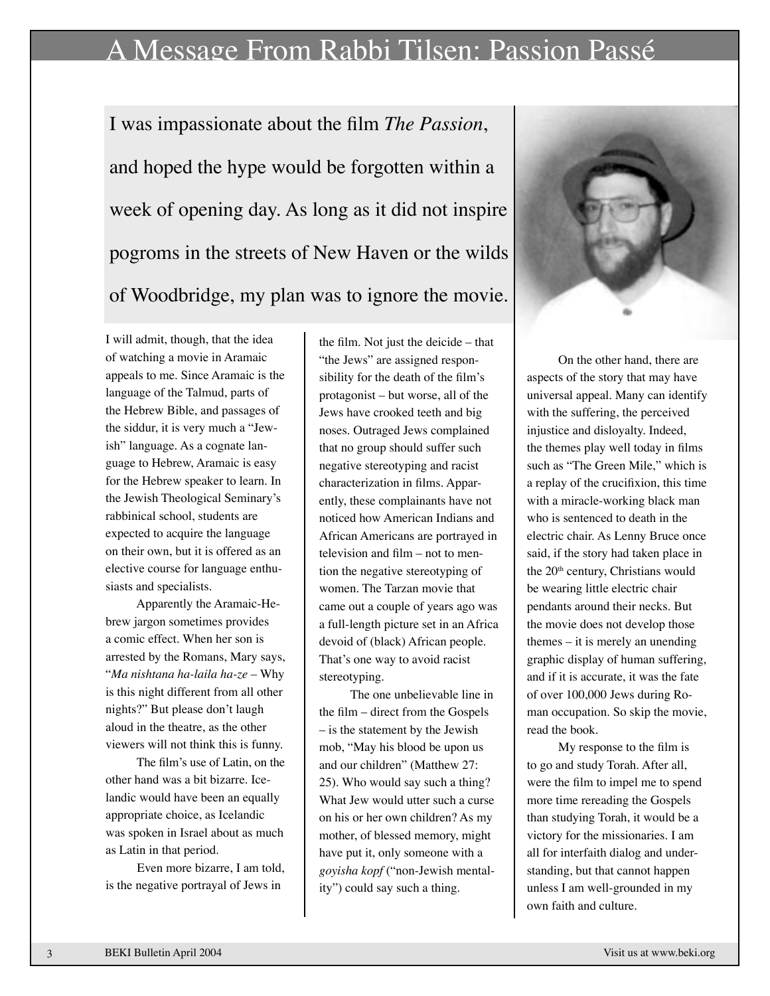### A Message From Rabbi Tilsen: Passion Passé

I was impassionate about the film *The Passion*, and hoped the hype would be forgotten within a week of opening day. As long as it did not inspire pogroms in the streets of New Haven or the wilds of Woodbridge, my plan was to ignore the movie.

I will admit, though, that the idea of watching a movie in Aramaic appeals to me. Since Aramaic is the language of the Talmud, parts of the Hebrew Bible, and passages of the siddur, it is very much a "Jewish" language. As a cognate language to Hebrew, Aramaic is easy for the Hebrew speaker to learn. In the Jewish Theological Seminary's rabbinical school, students are expected to acquire the language on their own, but it is offered as an elective course for language enthusiasts and specialists.

Apparently the Aramaic-Hebrew jargon sometimes provides a comic effect. When her son is arrested by the Romans, Mary says, "*Ma nishtana ha-laila ha-ze* – Why is this night different from all other nights?" But please don't laugh aloud in the theatre, as the other viewers will not think this is funny.

The film's use of Latin, on the other hand was a bit bizarre. Icelandic would have been an equally appropriate choice, as Icelandic was spoken in Israel about as much as Latin in that period.

Even more bizarre, I am told, is the negative portrayal of Jews in

the film. Not just the deicide – that "the Jews" are assigned responsibility for the death of the film's protagonist – but worse, all of the Jews have crooked teeth and big noses. Outraged Jews complained that no group should suffer such negative stereotyping and racist characterization in films. Apparently, these complainants have not noticed how American Indians and African Americans are portrayed in television and film – not to mention the negative stereotyping of women. The Tarzan movie that came out a couple of years ago was a full-length picture set in an Africa devoid of (black) African people. That's one way to avoid racist stereotyping.

The one unbelievable line in the film – direct from the Gospels – is the statement by the Jewish mob, "May his blood be upon us and our children" (Matthew 27: 25). Who would say such a thing? What Jew would utter such a curse on his or her own children? As my mother, of blessed memory, might have put it, only someone with a *goyisha kopf* ("non-Jewish mentality") could say such a thing.



On the other hand, there are aspects of the story that may have universal appeal. Many can identify with the suffering, the perceived injustice and disloyalty. Indeed, the themes play well today in films such as "The Green Mile," which is a replay of the crucifixion, this time with a miracle-working black man who is sentenced to death in the electric chair. As Lenny Bruce once said, if the story had taken place in the 20<sup>th</sup> century, Christians would be wearing little electric chair pendants around their necks. But the movie does not develop those themes – it is merely an unending graphic display of human suffering, and if it is accurate, it was the fate of over 100,000 Jews during Roman occupation. So skip the movie, read the book.

My response to the film is to go and study Torah. After all, were the film to impel me to spend more time rereading the Gospels than studying Torah, it would be a victory for the missionaries. I am all for interfaith dialog and understanding, but that cannot happen unless I am well-grounded in my own faith and culture.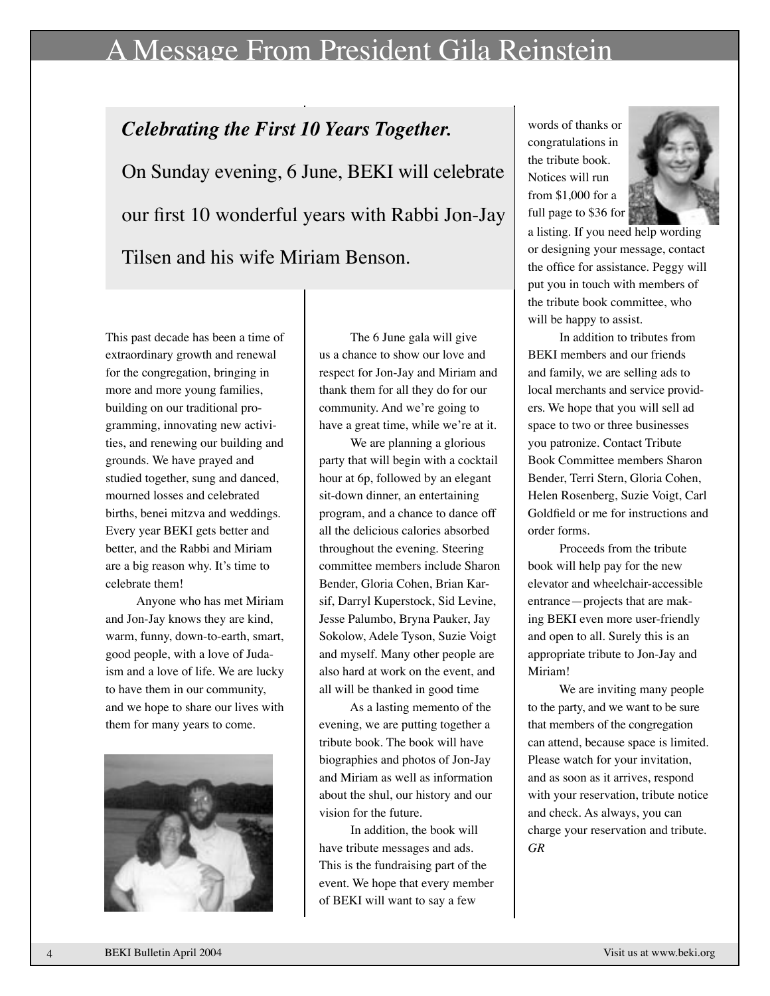### A Message From President Gila Reinstein

# *Celebrating the First 10 Years Together.* On Sunday evening, 6 June, BEKI will celebrate our first 10 wonderful years with Rabbi Jon-Jay Tilsen and his wife Miriam Benson.

This past decade has been a time of extraordinary growth and renewal for the congregation, bringing in more and more young families, building on our traditional programming, innovating new activities, and renewing our building and grounds. We have prayed and studied together, sung and danced, mourned losses and celebrated births, benei mitzva and weddings. Every year BEKI gets better and better, and the Rabbi and Miriam are a big reason why. It's time to celebrate them!

Anyone who has met Miriam and Jon-Jay knows they are kind, warm, funny, down-to-earth, smart, good people, with a love of Judaism and a love of life. We are lucky to have them in our community, and we hope to share our lives with them for many years to come.



The 6 June gala will give us a chance to show our love and respect for Jon-Jay and Miriam and thank them for all they do for our community. And we're going to have a great time, while we're at it.

We are planning a glorious party that will begin with a cocktail hour at 6p, followed by an elegant sit-down dinner, an entertaining program, and a chance to dance off all the delicious calories absorbed throughout the evening. Steering committee members include Sharon Bender, Gloria Cohen, Brian Karsif, Darryl Kuperstock, Sid Levine, Jesse Palumbo, Bryna Pauker, Jay Sokolow, Adele Tyson, Suzie Voigt and myself. Many other people are also hard at work on the event, and all will be thanked in good time

As a lasting memento of the evening, we are putting together a tribute book. The book will have biographies and photos of Jon-Jay and Miriam as well as information about the shul, our history and our vision for the future.

In addition, the book will have tribute messages and ads. This is the fundraising part of the event. We hope that every member of BEKI will want to say a few

words of thanks or congratulations in the tribute book. Notices will run from \$1,000 for a full page to \$36 for



a listing. If you need help wording or designing your message, contact the office for assistance. Peggy will put you in touch with members of the tribute book committee, who will be happy to assist.

In addition to tributes from BEKI members and our friends and family, we are selling ads to local merchants and service providers. We hope that you will sell ad space to two or three businesses you patronize. Contact Tribute Book Committee members Sharon Bender, Terri Stern, Gloria Cohen, Helen Rosenberg, Suzie Voigt, Carl Goldfield or me for instructions and order forms.

Proceeds from the tribute book will help pay for the new elevator and wheelchair-accessible entrance—projects that are making BEKI even more user-friendly and open to all. Surely this is an appropriate tribute to Jon-Jay and Miriam!

We are inviting many people to the party, and we want to be sure that members of the congregation can attend, because space is limited. Please watch for your invitation, and as soon as it arrives, respond with your reservation, tribute notice and check. As always, you can charge your reservation and tribute. *GR*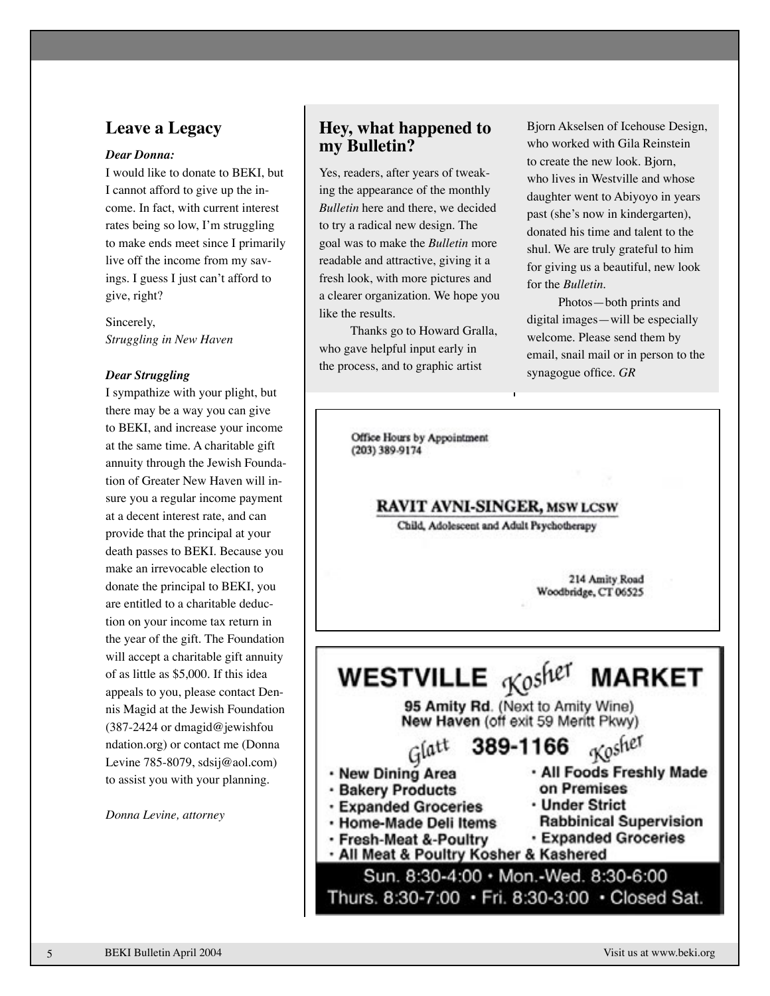### **Leave a Legacy**

#### *Dear Donna:*

I would like to donate to BEKI, but I cannot afford to give up the income. In fact, with current interest rates being so low, I'm struggling to make ends meet since I primarily live off the income from my savings. I guess I just can't afford to give, right?

Sincerely, *Struggling in New Haven*

#### *Dear Struggling*

I sympathize with your plight, but there may be a way you can give to BEKI, and increase your income at the same time. A charitable gift annuity through the Jewish Foundation of Greater New Haven will insure you a regular income payment at a decent interest rate, and can provide that the principal at your death passes to BEKI. Because you make an irrevocable election to donate the principal to BEKI, you are entitled to a charitable deduction on your income tax return in the year of the gift. The Foundation will accept a charitable gift annuity of as little as \$5,000. If this idea appeals to you, please contact Dennis Magid at the Jewish Foundation (387-2424 or dmagid@jewishfou ndation.org) or contact me (Donna Levine 785-8079, sdsij@aol.com) to assist you with your planning.

*Donna Levine, attorney*

### **Hey, what happened to my Bulletin?**

Yes, readers, after years of tweaking the appearance of the monthly *Bulletin* here and there, we decided to try a radical new design. The goal was to make the *Bulletin* more readable and attractive, giving it a fresh look, with more pictures and a clearer organization. We hope you like the results.

Thanks go to Howard Gralla, who gave helpful input early in the process, and to graphic artist

Bjorn Akselsen of Icehouse Design, who worked with Gila Reinstein to create the new look. Bjorn, who lives in Westville and whose daughter went to Abiyoyo in years past (she's now in kindergarten), donated his time and talent to the shul. We are truly grateful to him for giving us a beautiful, new look for the *Bulletin*.

Photos—both prints and digital images—will be especially welcome. Please send them by email, snail mail or in person to the synagogue office. *GR*

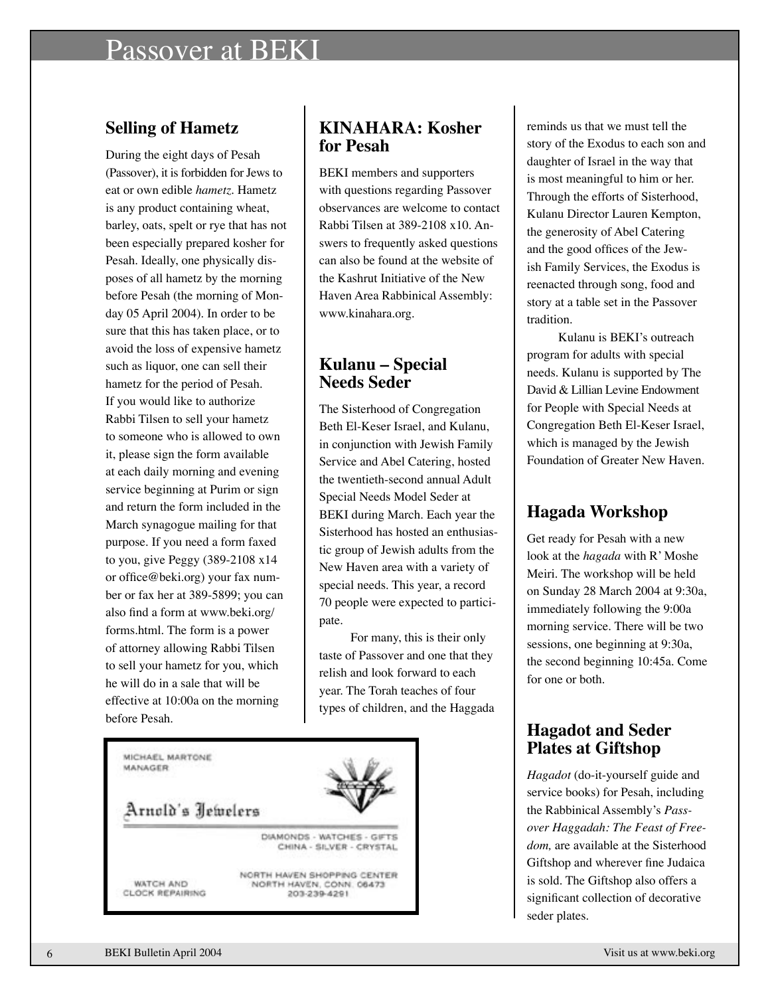### Passover at BEKI

### **Selling of Hametz**

During the eight days of Pesah (Passover), it is forbidden for Jews to eat or own edible *hametz*. Hametz is any product containing wheat, barley, oats, spelt or rye that has not been especially prepared kosher for Pesah. Ideally, one physically disposes of all hametz by the morning before Pesah (the morning of Monday 05 April 2004). In order to be sure that this has taken place, or to avoid the loss of expensive hametz such as liquor, one can sell their hametz for the period of Pesah. If you would like to authorize Rabbi Tilsen to sell your hametz to someone who is allowed to own it, please sign the form available at each daily morning and evening service beginning at Purim or sign and return the form included in the March synagogue mailing for that purpose. If you need a form faxed to you, give Peggy (389-2108 x14 or office@beki.org) your fax number or fax her at 389-5899; you can also find a form at www.beki.org/ forms.html. The form is a power of attorney allowing Rabbi Tilsen to sell your hametz for you, which he will do in a sale that will be effective at 10:00a on the morning before Pesah.

### **KINAHARA: Kosher for Pesah**

BEKI members and supporters with questions regarding Passover observances are welcome to contact Rabbi Tilsen at 389-2108 x10. Answers to frequently asked questions can also be found at the website of the Kashrut Initiative of the New Haven Area Rabbinical Assembly: www.kinahara.org.

### **Kulanu – Special Needs Seder**

The Sisterhood of Congregation Beth El-Keser Israel, and Kulanu, in conjunction with Jewish Family Service and Abel Catering, hosted the twentieth-second annual Adult Special Needs Model Seder at BEKI during March. Each year the Sisterhood has hosted an enthusiastic group of Jewish adults from the New Haven area with a variety of special needs. This year, a record 70 people were expected to participate.

For many, this is their only taste of Passover and one that they relish and look forward to each year. The Torah teaches of four types of children, and the Haggada



reminds us that we must tell the story of the Exodus to each son and daughter of Israel in the way that is most meaningful to him or her. Through the efforts of Sisterhood, Kulanu Director Lauren Kempton, the generosity of Abel Catering and the good offices of the Jewish Family Services, the Exodus is reenacted through song, food and story at a table set in the Passover tradition.

Kulanu is BEKI's outreach program for adults with special needs. Kulanu is supported by The David & Lillian Levine Endowment for People with Special Needs at Congregation Beth El-Keser Israel, which is managed by the Jewish Foundation of Greater New Haven.

### **Hagada Workshop**

Get ready for Pesah with a new look at the *hagada* with R' Moshe Meiri. The workshop will be held on Sunday 28 March 2004 at 9:30a, immediately following the 9:00a morning service. There will be two sessions, one beginning at 9:30a, the second beginning 10:45a. Come for one or both.

### **Hagadot and Seder Plates at Giftshop**

*Hagadot* (do-it-yourself guide and service books) for Pesah, including the Rabbinical Assembly's *Passover Haggadah: The Feast of Freedom,* are available at the Sisterhood Giftshop and wherever fine Judaica is sold. The Giftshop also offers a significant collection of decorative seder plates.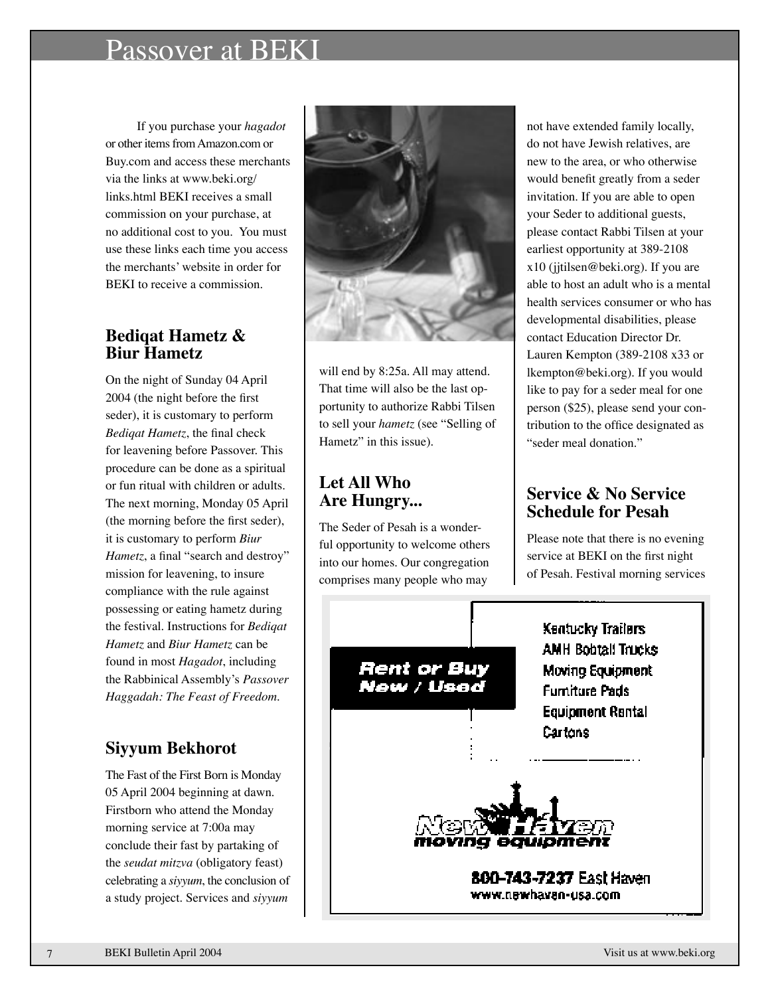### Passover at BEKI

If you purchase your *hagadot* or other items from Amazon.com or Buy.com and access these merchants via the links at www.beki.org/ links.html BEKI receives a small commission on your purchase, at no additional cost to you. You must use these links each time you access the merchants' website in order for BEKI to receive a commission.

### **Bediqat Hametz & Biur Hametz**

On the night of Sunday 04 April 2004 (the night before the first seder), it is customary to perform *Bediqat Hametz*, the final check for leavening before Passover. This procedure can be done as a spiritual or fun ritual with children or adults. The next morning, Monday 05 April (the morning before the first seder), it is customary to perform *Biur Hametz*, a final "search and destroy" mission for leavening, to insure compliance with the rule against possessing or eating hametz during the festival. Instructions for *Bediqat Hametz* and *Biur Hametz* can be found in most *Hagadot*, including the Rabbinical Assembly's *Passover Haggadah: The Feast of Freedom.* 

### **Siyyum Bekhorot**

The Fast of the First Born is Monday 05 April 2004 beginning at dawn. Firstborn who attend the Monday morning service at 7:00a may conclude their fast by partaking of the *seudat mitzva* (obligatory feast) celebrating a *siyyum*, the conclusion of a study project. Services and *siyyum*



will end by 8:25a. All may attend. That time will also be the last opportunity to authorize Rabbi Tilsen to sell your *hametz* (see "Selling of Hametz" in this issue).

### **Let All Who Are Hungry...**

The Seder of Pesah is a wonderful opportunity to welcome others into our homes. Our congregation comprises many people who may

not have extended family locally, do not have Jewish relatives, are new to the area, or who otherwise would benefit greatly from a seder invitation. If you are able to open your Seder to additional guests, please contact Rabbi Tilsen at your earliest opportunity at 389-2108 x10 (jjtilsen@beki.org). If you are able to host an adult who is a mental health services consumer or who has developmental disabilities, please contact Education Director Dr. Lauren Kempton (389-2108 x33 or lkempton@beki.org). If you would like to pay for a seder meal for one person (\$25), please send your contribution to the office designated as "seder meal donation."

### **Service & No Service Schedule for Pesah**

Please note that there is no evening service at BEKI on the first night of Pesah. Festival morning services

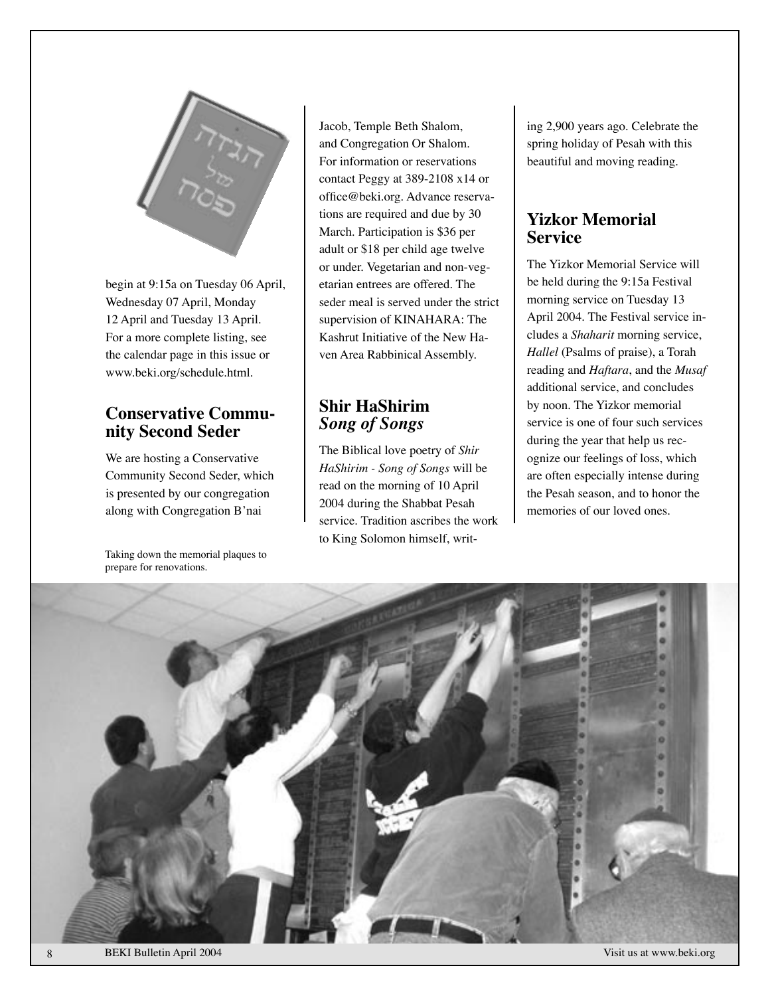

begin at 9:15a on Tuesday 06 April, Wednesday 07 April, Monday 12 April and Tuesday 13 April. For a more complete listing, see the calendar page in this issue or www.beki.org/schedule.html.

# **Conservative Commu- nity Second Seder**

We are hosting a Conservative Community Second Seder, which is presented by our congregation along with Congregation B'nai

Taking down the memorial plaques to prepare for renovations.

Jacob, Temple Beth Shalom, and Congregation Or Shalom. For information or reservations contact Peggy at 389-2108 x14 or office@beki.org. Advance reservations are required and due by 30 March. Participation is \$36 per adult or \$18 per child age twelve or under. Vegetarian and non-vegetarian entrees are offered. The seder meal is served under the strict supervision of KINAHARA: The Kashrut Initiative of the New Haven Area Rabbinical Assembly.

### **Shir HaShirim** *Song of Songs*

The Biblical love poetry of *Shir HaShirim - Song of Songs* will be read on the morning of 10 April 2004 during the Shabbat Pesah service. Tradition ascribes the work to King Solomon himself, writ-

ing 2,900 years ago. Celebrate the spring holiday of Pesah with this beautiful and moving reading.

### **Yizkor Memorial Service**

The Yizkor Memorial Service will be held during the 9:15a Festival morning service on Tuesday 13 April 2004. The Festival service includes a *Shaharit* morning service, *Hallel* (Psalms of praise), a Torah reading and *Haftara*, and the *Musaf* additional service, and concludes by noon. The Yizkor memorial service is one of four such services during the year that help us recognize our feelings of loss, which are often especially intense during the Pesah season, and to honor the memories of our loved ones.

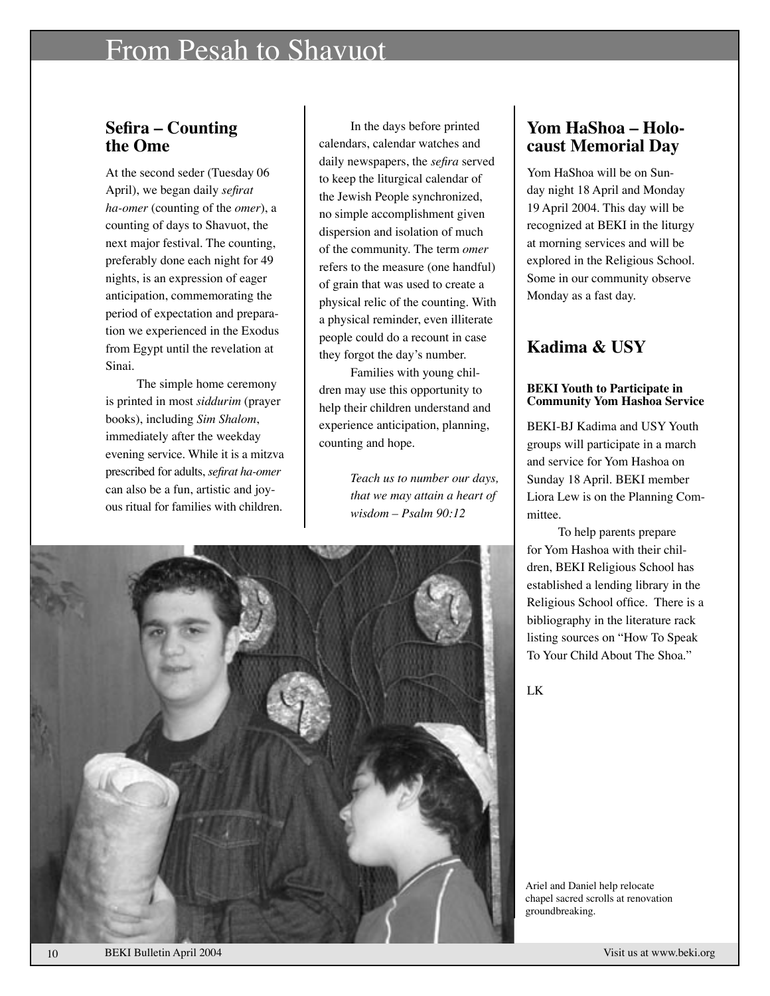### From Pesah to Shavuot

### **Sefira – Counting the Ome**

At the second seder (Tuesday 06 April), we began daily *sefirat ha-omer* (counting of the *omer*), a counting of days to Shavuot, the next major festival. The counting, preferably done each night for 49 nights, is an expression of eager anticipation, commemorating the period of expectation and preparation we experienced in the Exodus from Egypt until the revelation at Sinai.

The simple home ceremony is printed in most *siddurim* (prayer books), including *Sim Shalom*, immediately after the weekday evening service. While it is a mitzva prescribed for adults, *sefirat ha-omer* can also be a fun, artistic and joyous ritual for families with children.

In the days before printed calendars, calendar watches and daily newspapers, the *sefira* served to keep the liturgical calendar of the Jewish People synchronized, no simple accomplishment given dispersion and isolation of much of the community. The term *omer* refers to the measure (one handful) of grain that was used to create a physical relic of the counting. With a physical reminder, even illiterate people could do a recount in case they forgot the day's number.

Families with young children may use this opportunity to help their children understand and experience anticipation, planning, counting and hope.

> *Teach us to number our days, that we may attain a heart of wisdom – Psalm 90:12*



### **Yom HaShoa – Holocaust Memorial Day**

Yom HaShoa will be on Sunday night 18 April and Monday 19 April 2004. This day will be recognized at BEKI in the liturgy at morning services and will be explored in the Religious School. Some in our community observe Monday as a fast day.

### **Kadima & USY**

#### **BEKI Youth to Participate in Community Yom Hashoa Service**

BEKI-BJ Kadima and USY Youth groups will participate in a march and service for Yom Hashoa on Sunday 18 April. BEKI member Liora Lew is on the Planning Committee.

To help parents prepare for Yom Hashoa with their children, BEKI Religious School has established a lending library in the Religious School office. There is a bibliography in the literature rack listing sources on "How To Speak To Your Child About The Shoa."

LK

Ariel and Daniel help relocate chapel sacred scrolls at renovation groundbreaking.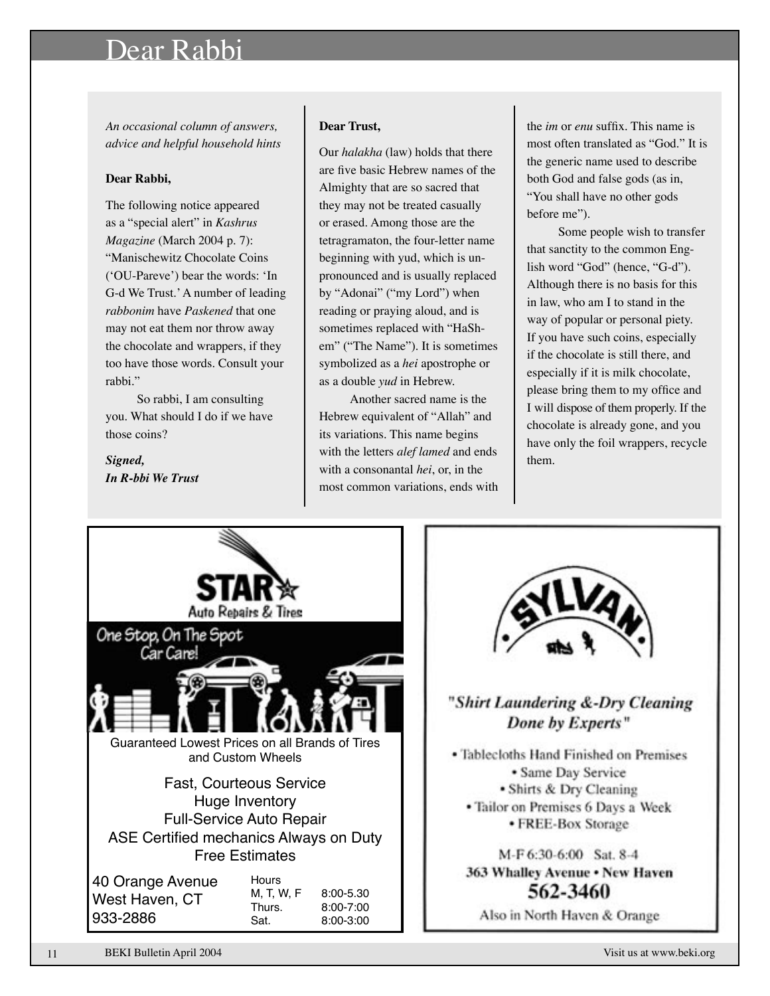### Dear Rabbi

*An occasional column of answers, advice and helpful household hints*

#### **Dear Rabbi,**

The following notice appeared as a "special alert" in *Kashrus Magazine* (March 2004 p. 7): "Manischewitz Chocolate Coins (ʻOU-Pareve') bear the words: ʻIn G-d We Trust.' A number of leading *rabbonim* have *Paskened* that one may not eat them nor throw away the chocolate and wrappers, if they too have those words. Consult your rabbi."

So rabbi, I am consulting you. What should I do if we have those coins?

*Signed, In R-bbi We Trust*

#### **Dear Trust,**

Our *halakha* (law) holds that there are five basic Hebrew names of the Almighty that are so sacred that they may not be treated casually or erased. Among those are the tetragramaton, the four-letter name beginning with yud, which is unpronounced and is usually replaced by "Adonai" ("my Lord") when reading or praying aloud, and is sometimes replaced with "HaShem" ("The Name"). It is sometimes symbolized as a *hei* apostrophe or as a double *yud* in Hebrew.

Another sacred name is the Hebrew equivalent of "Allah" and its variations. This name begins with the letters *alef lamed* and ends with a consonantal *hei*, or, in the most common variations, ends with

the *im* or *enu* suffix. This name is most often translated as "God." It is the generic name used to describe both God and false gods (as in, "You shall have no other gods before me").

Some people wish to transfer that sanctity to the common English word "God" (hence, "G-d"). Although there is no basis for this in law, who am I to stand in the way of popular or personal piety. If you have such coins, especially if the chocolate is still there, and especially if it is milk chocolate, please bring them to my office and I will dispose of them properly. If the chocolate is already gone, and you have only the foil wrappers, recycle them.





### "Shirt Laundering &-Dry Cleaning Done by Experts"

• Tablecloths Hand Finished on Premises • Same Day Service • Shirts & Dry Cleaning • Tailor on Premises 6 Days a Week • FREE-Box Storage

M-F 6:30-6:00 Sat. 8-4 363 Whalley Avenue . New Haven 562-3460

Also in North Haven & Orange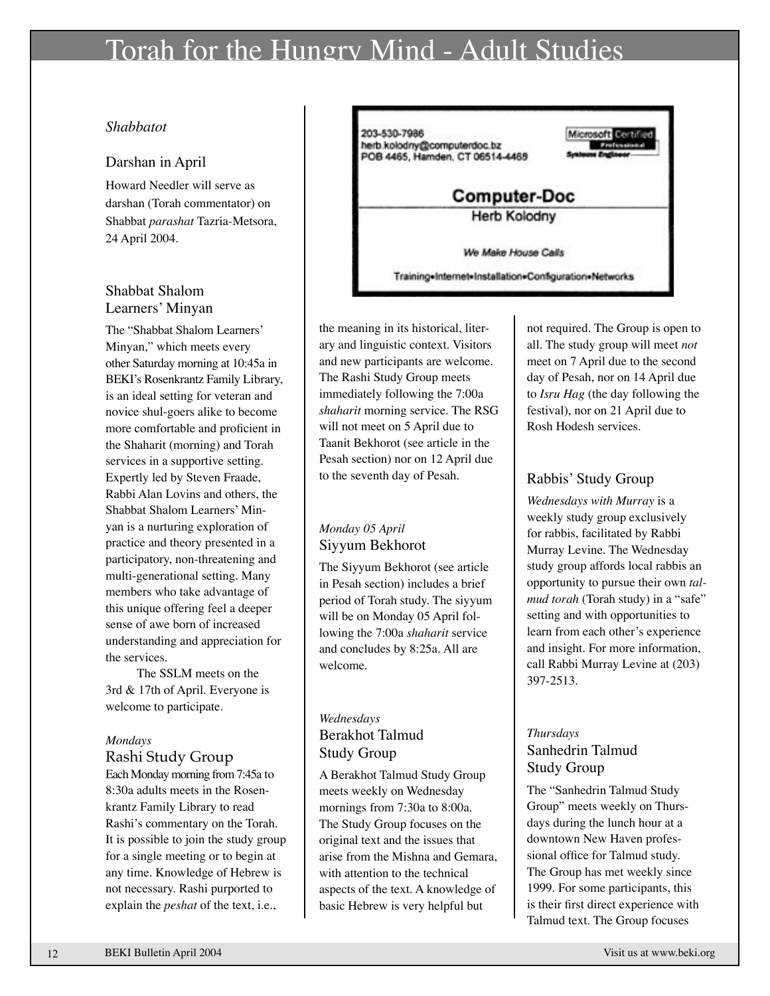### Torah for the Hungry Mind - Adult Studies

### *Shabbatot*

#### Darshan in April

Howard Needler will serve as darshan (Torah commentator) on Shabbat *parashat* Tazria-Metsora, 24 April 2004.

### Shabbat Shalom Learners' Minyan

The "Shabbat Shalom Learners' Minyan," which meets every other Saturday morning at 10:45a in BEKI's Rosenkrantz Family Library, is an ideal setting for veteran and novice shul-goers alike to become more comfortable and proficient in the Shaharit (morning) and Torah services in a supportive setting. Expertly led by Steven Fraade, Rabbi Alan Lovins and others, the Shabbat Shalom Learners' Minyan is a nurturing exploration of practice and theory presented in a participatory, non-threatening and multi-generational setting. Many members who take advantage of this unique offering feel a deeper sense of awe born of increased understanding and appreciation for the services.

The SSLM meets on the 3rd & 17th of April. Everyone is welcome to participate.

#### *Mondays*

#### Rashi Study Group Each Monday morning from 7:45a to

8:30a adults meets in the Rosenkrantz Family Library to read Rashi's commentary on the Torah. It is possible to join the study group for a single meeting or to begin at any time. Knowledge of Hebrew is not necessary. Rashi purported to explain the *peshat* of the text, i.e.,



the meaning in its historical, literary and linguistic context. Visitors and new participants are welcome. The Rashi Study Group meets immediately following the 7:00a *shaharit* morning service. The RSG will not meet on 5 April due to Taanit Bekhorot (see article in the Pesah section) nor on 12 April due to the seventh day of Pesah.

### *Monday 05 April* Siyyum Bekhorot

The Siyyum Bekhorot (see article in Pesah section) includes a brief period of Torah study. The siyyum will be on Monday 05 April following the 7:00a *shaharit* service and concludes by 8:25a. All are welcome.

### *Wednesdays* Berakhot Talmud Study Group

A Berakhot Talmud Study Group meets weekly on Wednesday mornings from 7:30a to 8:00a. The Study Group focuses on the original text and the issues that arise from the Mishna and Gemara, with attention to the technical aspects of the text. A knowledge of basic Hebrew is very helpful but

not required. The Group is open to all. The study group will meet *not* meet on 7 April due to the second day of Pesah, nor on 14 April due to *Isru Hag* (the day following the festival), nor on 21 April due to Rosh Hodesh services.

### Rabbis' Study Group

*Wednesdays with Murray* is a weekly study group exclusively for rabbis, facilitated by Rabbi Murray Levine. The Wednesday study group affords local rabbis an opportunity to pursue their own *talmud torah* (Torah study) in a "safe" setting and with opportunities to learn from each other's experience and insight. For more information, call Rabbi Murray Levine at (203) 397-2513.

### *Thursdays* Sanhedrin Talmud Study Group

The "Sanhedrin Talmud Study Group" meets weekly on Thursdays during the lunch hour at a downtown New Haven professional office for Talmud study. The Group has met weekly since 1999. For some participants, this is their first direct experience with Talmud text. The Group focuses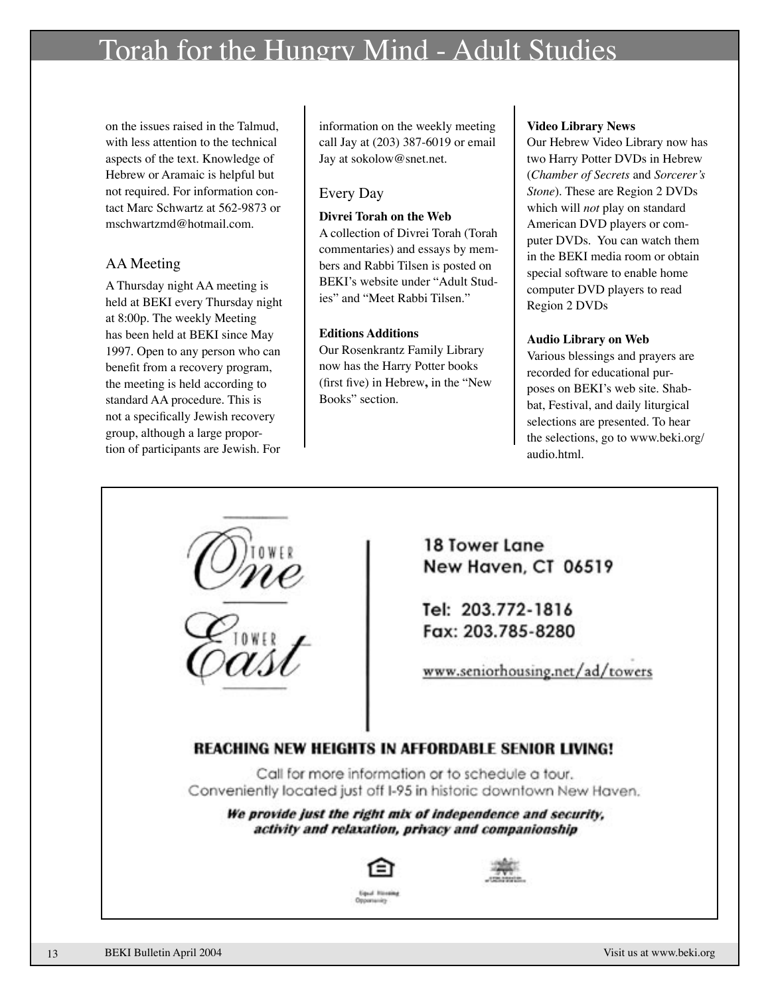### Torah for the Hungry Mind - Adult Studies

on the issues raised in the Talmud, with less attention to the technical aspects of the text. Knowledge of Hebrew or Aramaic is helpful but not required. For information contact Marc Schwartz at 562-9873 or mschwartzmd@hotmail.com.

### AA Meeting

A Thursday night AA meeting is held at BEKI every Thursday night at 8:00p. The weekly Meeting has been held at BEKI since May 1997. Open to any person who can benefit from a recovery program, the meeting is held according to standard AA procedure. This is not a specifically Jewish recovery group, although a large proportion of participants are Jewish. For

information on the weekly meeting call Jay at (203) 387-6019 or email Jay at sokolow@snet.net.

### Every Day

### **Divrei Torah on the Web**

A collection of Divrei Torah (Torah commentaries) and essays by members and Rabbi Tilsen is posted on BEKI's website under "Adult Studies" and "Meet Rabbi Tilsen."

### **Editions Additions**

Our Rosenkrantz Family Library now has the Harry Potter books (first five) in Hebrew**,** in the "New Books" section.

#### **Video Library News**

Our Hebrew Video Library now has two Harry Potter DVDs in Hebrew (*Chamber of Secrets* and *Sorcerer's Stone*). These are Region 2 DVDs which will *not* play on standard American DVD players or computer DVDs. You can watch them in the BEKI media room or obtain special software to enable home computer DVD players to read Region 2 DVDs

#### **Audio Library on Web**

Various blessings and prayers are recorded for educational purposes on BEKI's web site. Shabbat, Festival, and daily liturgical selections are presented. To hear the selections, go to www.beki.org/ audio.html.

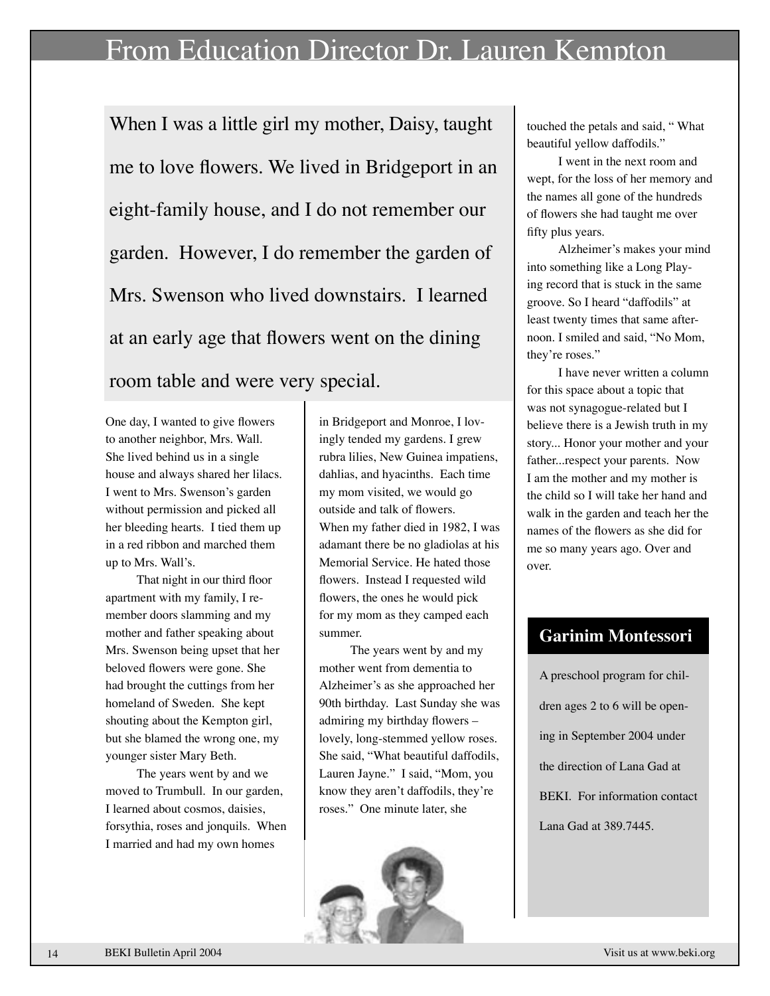### From Education Director Dr. Lauren Kempton

When I was a little girl my mother, Daisy, taught me to love flowers. We lived in Bridgeport in an eight-family house, and I do not remember our garden. However, I do remember the garden of Mrs. Swenson who lived downstairs. I learned at an early age that flowers went on the dining room table and were very special.

One day, I wanted to give flowers to another neighbor, Mrs. Wall. She lived behind us in a single house and always shared her lilacs. I went to Mrs. Swenson's garden without permission and picked all her bleeding hearts. I tied them up in a red ribbon and marched them up to Mrs. Wall's.

That night in our third floor apartment with my family, I remember doors slamming and my mother and father speaking about Mrs. Swenson being upset that her beloved flowers were gone. She had brought the cuttings from her homeland of Sweden. She kept shouting about the Kempton girl, but she blamed the wrong one, my younger sister Mary Beth.

The years went by and we moved to Trumbull. In our garden, I learned about cosmos, daisies, forsythia, roses and jonquils. When I married and had my own homes

in Bridgeport and Monroe, I lovingly tended my gardens. I grew rubra lilies, New Guinea impatiens, dahlias, and hyacinths. Each time my mom visited, we would go outside and talk of flowers. When my father died in 1982, I was adamant there be no gladiolas at his Memorial Service. He hated those flowers. Instead I requested wild flowers, the ones he would pick for my mom as they camped each summer.

The years went by and my mother went from dementia to Alzheimer's as she approached her 90th birthday. Last Sunday she was admiring my birthday flowers – lovely, long-stemmed yellow roses. She said, "What beautiful daffodils, Lauren Jayne." I said, "Mom, you know they aren't daffodils, they're roses." One minute later, she



touched the petals and said, " What beautiful yellow daffodils."

I went in the next room and wept, for the loss of her memory and the names all gone of the hundreds of flowers she had taught me over fifty plus years.

 Alzheimer's makes your mind into something like a Long Playing record that is stuck in the same groove. So I heard "daffodils" at least twenty times that same afternoon. I smiled and said, "No Mom, they're roses."

 I have never written a column for this space about a topic that was not synagogue-related but I believe there is a Jewish truth in my story... Honor your mother and your father...respect your parents. Now I am the mother and my mother is the child so I will take her hand and walk in the garden and teach her the names of the flowers as she did for me so many years ago. Over and over.

### **Garinim Montessori**

A preschool program for children ages 2 to 6 will be opening in September 2004 under the direction of Lana Gad at BEKI. For information contact Lana Gad at 389.7445.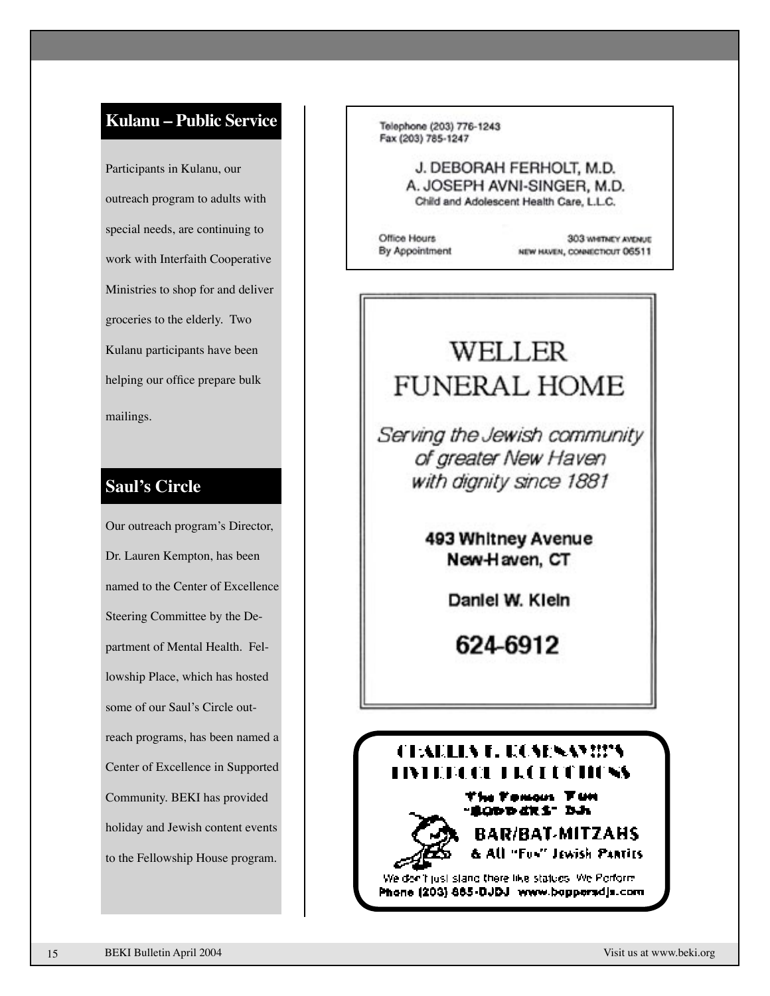### **Kulanu – Public Service**

Participants in Kulanu, our outreach program to adults with special needs, are continuing to work with Interfaith Cooperative Ministries to shop for and deliver groceries to the elderly. Two Kulanu participants have been helping our office prepare bulk mailings.

### **Saul's Circle**

Our outreach program's Director, Dr. Lauren Kempton, has been named to the Center of Excellence Steering Committee by the Department of Mental Health. Fellowship Place, which has hosted some of our Saul's Circle outreach programs, has been named a Center of Excellence in Supported Community. BEKI has provided holiday and Jewish content events to the Fellowship House program.

Telephone (203) 776-1243 Fax (203) 785-1247

> J. DEBORAH FERHOLT, M.D. A. JOSEPH AVNI-SINGER, M.D. Child and Adolescent Health Care, L.L.C.

Office Hours By Appointment

303 WHETNEY AVENUE NEW HAVEN, CONNECTICUT 06511

### WELLER **FUNERAL HOME**

Serving the Jewish community of greater New Haven with dignity since 1881

> 493 Whitney Avenue New-Haven, CT

> > Daniel W. Kieln

624-6912

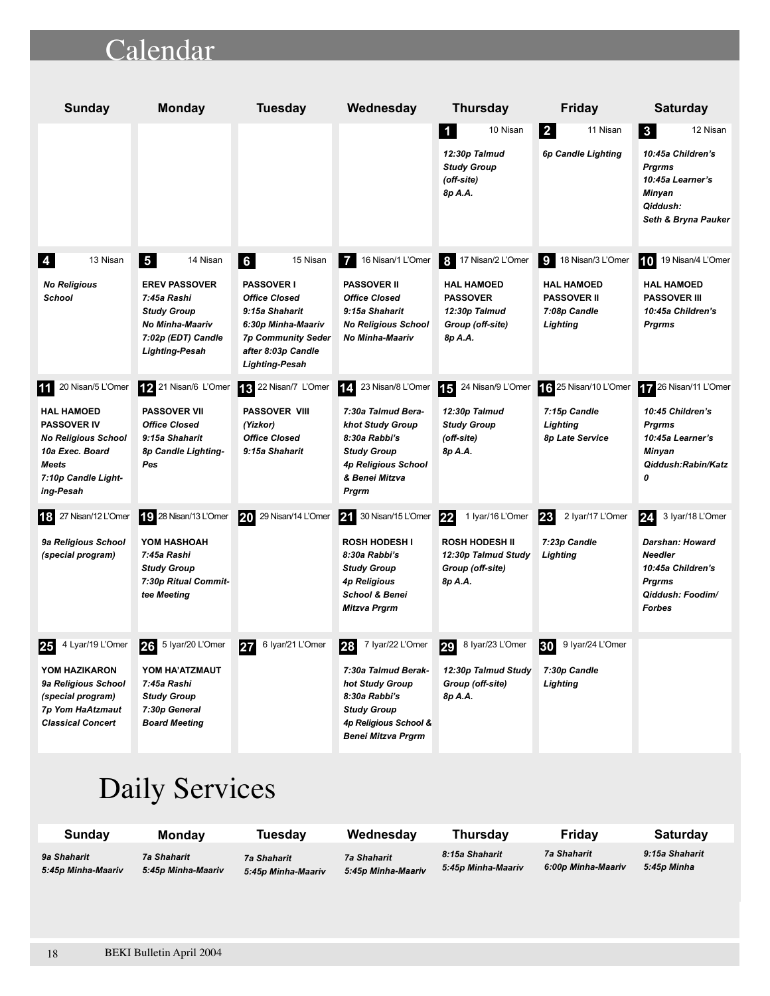### Calendar

| <b>Sunday</b>                                                                                                                                                      | <b>Monday</b>                                                                                                                                | <b>Tuesday</b>                                                                                                                                                                 | Wednesday                                                                                                                                                                        | <b>Thursday</b>                                                                                                    | <b>Friday</b>                                                                                              | <b>Saturday</b>                                                                                                                            |
|--------------------------------------------------------------------------------------------------------------------------------------------------------------------|----------------------------------------------------------------------------------------------------------------------------------------------|--------------------------------------------------------------------------------------------------------------------------------------------------------------------------------|----------------------------------------------------------------------------------------------------------------------------------------------------------------------------------|--------------------------------------------------------------------------------------------------------------------|------------------------------------------------------------------------------------------------------------|--------------------------------------------------------------------------------------------------------------------------------------------|
|                                                                                                                                                                    |                                                                                                                                              |                                                                                                                                                                                |                                                                                                                                                                                  | 10 Nisan<br>$\blacksquare$<br>12:30p Talmud<br><b>Study Group</b><br>(off-site)<br>8p A.A.                         | $\vert$ 2<br>11 Nisan<br>6p Candle Lighting                                                                | 12 Nisan<br>$\overline{\mathbf{3}}$<br>10:45a Children's<br><b>Prgrms</b><br>10:45a Learner's<br>Minyan<br>Qiddush:<br>Seth & Bryna Pauker |
| 13 Nisan<br>4<br><b>No Religious</b><br>School                                                                                                                     | 5<br>14 Nisan<br><b>EREV PASSOVER</b><br>7:45a Rashi<br><b>Study Group</b><br>No Minha-Maariv<br>7:02p (EDT) Candle<br><b>Lighting-Pesah</b> | 6<br>15 Nisan<br><b>PASSOVER I</b><br><b>Office Closed</b><br>9:15a Shaharit<br>6:30p Minha-Maariv<br><b>7p Community Seder</b><br>after 8:03p Candle<br><b>Lighting-Pesah</b> | 16 Nisan/1 L'Omer<br>7<br><b>PASSOVER II</b><br><b>Office Closed</b><br>9:15a Shaharit<br><b>No Religious School</b><br><b>No Minha-Maariv</b>                                   | 17 Nisan/2 L'Omer<br>l 8 l<br><b>HAL HAMOED</b><br><b>PASSOVER</b><br>12:30p Talmud<br>Group (off-site)<br>8p A.A. | $\overline{9}$<br>18 Nisan/3 L'Omer<br><b>HAL HAMOED</b><br><b>PASSOVER II</b><br>7:08p Candle<br>Lighting | 19 Nisan/4 L'Omer<br>10<br><b>HAL HAMOED</b><br><b>PASSOVER III</b><br>10:45a Children's<br><b>Prgrms</b>                                  |
| 20 Nisan/5 L'Omer<br>11  <br><b>HAL HAMOED</b><br><b>PASSOVER IV</b><br><b>No Religious School</b><br>10a Exec. Board<br>Meets<br>7:10p Candle Light-<br>ing-Pesah | 21 Nisan/6 L'Omer<br><b>PASSOVER VII</b><br><b>Office Closed</b><br>9:15a Shaharit<br>8p Candle Lighting-<br>Pes                             | 13 22 Nisan/7 L'Omer<br><b>PASSOVER VIII</b><br>(Yizkor)<br><b>Office Closed</b><br>9:15a Shaharit                                                                             | 23 Nisan/8 L'Omer<br> 14<br>7:30a Talmud Bera-<br><b>khot Study Group</b><br>8:30a Rabbi's<br><b>Study Group</b><br><b>4p Religious School</b><br>& Benei Mitzva<br><b>Prgrm</b> | 15<br>24 Nisan/9 L'Omer<br>12:30p Talmud<br><b>Study Group</b><br>(off-site)<br>8p A.A.                            | 16 25 Nisan/10 L'Omer<br>7:15p Candle<br>Lighting<br>8p Late Service                                       | 26 Nisan/11 L'Omer<br>10:45 Children's<br><b>Prgrms</b><br>10:45a Learner's<br>Minyan<br>Qiddush:Rabin/Katz<br>0                           |
| 18 27 Nisan/12 L'Omer<br>9a Religious School<br>(special program)                                                                                                  | 19 28 Nisan/13 L'Omer<br>YOM HASHOAH<br>7:45a Rashi<br><b>Study Group</b><br>7:30p Ritual Commit-<br>tee Meeting                             | 29 Nisan/14 L'Omer<br><b>20</b>                                                                                                                                                | 21<br>30 Nisan/15 L'Omer<br><b>ROSH HODESH I</b><br>8:30a Rabbi's<br><b>Study Group</b><br><b>4p Religious</b><br><b>School &amp; Benei</b><br>Mitzva Prgrm                      | 22<br>1 Iyar/16 L'Omer<br><b>ROSH HODESH II</b><br>12:30p Talmud Study<br>Group (off-site)<br>8p A.A.              | 2 Iyar/17 L'Omer<br> 23<br>7:23p Candle<br>Lighting                                                        | 24<br>3 Iyar/18 L'Omer<br>Darshan: Howard<br><b>Needler</b><br>10:45a Children's<br><b>Prgrms</b><br>Qiddush: Foodim/<br><b>Forbes</b>     |
| 4 Lyar/19 L'Omer<br>25<br>YOM HAZIKARON<br>9a Religious School<br>(special program)<br>7p Yom HaAtzmaut<br><b>Classical Concert</b>                                | 26<br>5 lyar/20 L'Omer<br>YOM HA'ATZMAUT<br>7:45a Rashi<br><b>Study Group</b><br>7:30p General<br><b>Board Meeting</b>                       | 6 lyar/21 L'Omer<br>27                                                                                                                                                         | 7 Iyar/22 L'Omer<br>28<br>7:30a Talmud Berak-<br>hot Study Group<br>8:30a Rabbi's<br><b>Study Group</b><br>4p Religious School &<br><b>Benei Mitzva Prgrm</b>                    | 29<br>8 Iyar/23 L'Omer<br>12:30p Talmud Study<br>Group (off-site)<br>8p A.A.                                       | 9 lyar/24 L'Omer<br>30<br>7:30p Candle<br>Lighting                                                         |                                                                                                                                            |

# Daily Services

| Sundav             | <b>Monday</b>      | Tuesdav            | Wednesdav          | Thursdav           | Friday             | <b>Saturday</b> |
|--------------------|--------------------|--------------------|--------------------|--------------------|--------------------|-----------------|
| 9a Shaharit        | 7a Shaharit        | 7a Shaharit        | <b>7a Shaharit</b> | 8:15a Shaharit     | 7a Shaharit        | 9:15a Shaharit  |
| 5:45p Minha-Maariv | 5:45p Minha-Maariv | 5:45p Minha-Maariv | 5:45p Minha-Maariv | 5:45p Minha-Maariv | 6:00p Minha-Maariv | 5:45p Minha     |